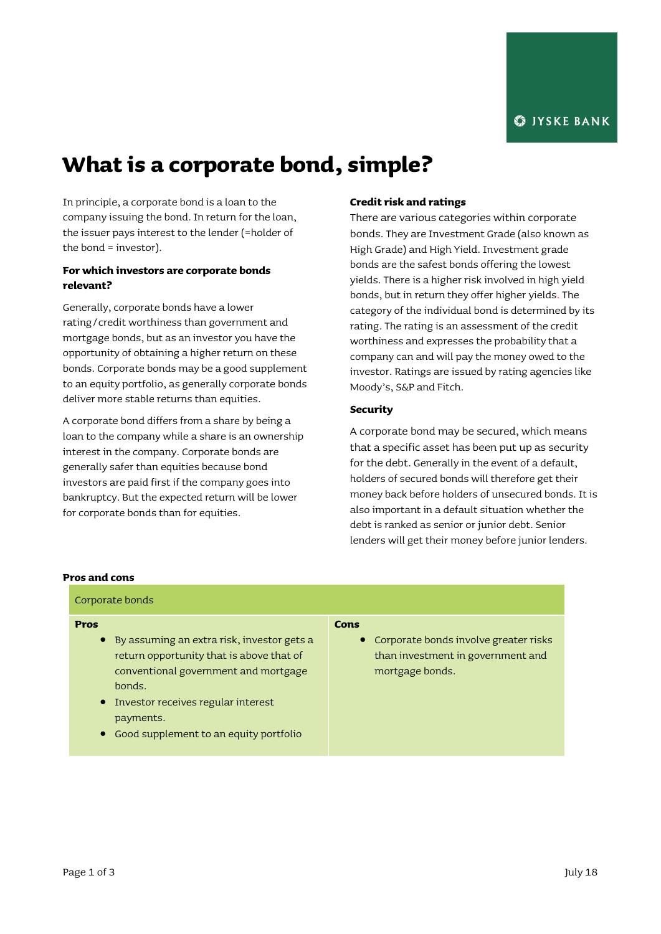# **What is a corporate bond, simple?**

In principle, a corporate bond is a loan to the company issuing the bond. In return for the loan, the issuer pays interest to the lender (=holder of the bond = investor).

# **For which investors are corporate bonds relevant?**

Generally, corporate bonds have a lower rating/credit worthiness than government and mortgage bonds, but as an investor you have the opportunity of obtaining a higher return on these bonds. Corporate bonds may be a good supplement to an equity portfolio, as generally corporate bonds deliver more stable returns than equities.

A corporate bond differs from a share by being a loan to the company while a share is an ownership interest in the company. Corporate bonds are generally safer than equities because bond investors are paid first if the company goes into bankruptcy. But the expected return will be lower for corporate bonds than for equities.

## **Credit risk and ratings**

There are various categories within corporate bonds. They are Investment Grade (also known as High Grade) and High Yield. Investment grade bonds are the safest bonds offering the lowest yields. There is a higher risk involved in high yield bonds, but in return they offer higher yields. The category of the individual bond is determined by its rating. The rating is an assessment of the credit worthiness and expresses the probability that a company can and will pay the money owed to the investor. Ratings are issued by rating agencies like Moody's, S&P and Fitch.

## **Security**

A corporate bond may be secured, which means that a specific asset has been put up as security for the debt. Generally in the event of a default, holders of secured bonds will therefore get their money back before holders of unsecured bonds. It is also important in a default situation whether the debt is ranked as senior or junior debt. Senior lenders will get their money before junior lenders.

### **Pros and cons**

| Corporate bonds                                                                                                                            |                                                                                                 |
|--------------------------------------------------------------------------------------------------------------------------------------------|-------------------------------------------------------------------------------------------------|
| Pros                                                                                                                                       | Cons                                                                                            |
| • By assuming an extra risk, investor gets a<br>return opportunity that is above that of<br>conventional government and mortgage<br>honds. | • Corporate bonds involve greater risks<br>than investment in government and<br>mortgage bonds. |
| • Investor receives regular interest<br>payments.<br>Good supplement to an equity portfolio                                                |                                                                                                 |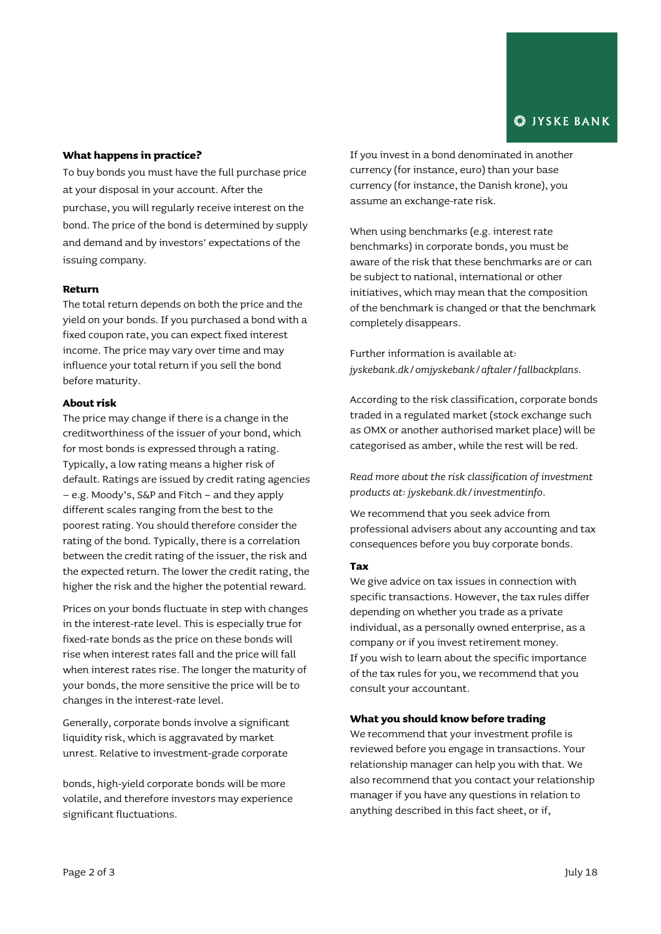## **What happens in practice?**

To buy bonds you must have the full purchase price at your disposal in your account. After the purchase, you will regularly receive interest on the bond. The price of the bond is determined by supply and demand and by investors' expectations of the issuing company.

## **Return**

The total return depends on both the price and the yield on your bonds. If you purchased a bond with a fixed coupon rate, you can expect fixed interest income. The price may vary over time and may influence your total return if you sell the bond before maturity.

### **About risk**

The price may change if there is a change in the creditworthiness of the issuer of your bond, which for most bonds is expressed through a rating. Typically, a low rating means a higher risk of default. Ratings are issued by credit rating agencies – e.g. Moody's, S&P and Fitch – and they apply different scales ranging from the best to the poorest rating. You should therefore consider the rating of the bond. Typically, there is a correlation between the credit rating of the issuer, the risk and the expected return. The lower the credit rating, the higher the risk and the higher the potential reward.

Prices on your bonds fluctuate in step with changes in the interest-rate level. This is especially true for fixed-rate bonds as the price on these bonds will rise when interest rates fall and the price will fall when interest rates rise. The longer the maturity of your bonds, the more sensitive the price will be to changes in the interest-rate level.

Generally, corporate bonds involve a significant liquidity risk, which is aggravated by market unrest. Relative to investment-grade corporate

bonds, high-yield corporate bonds will be more volatile, and therefore investors may experience significant fluctuations.

If you invest in a bond denominated in another currency (for instance, euro) than your base currency (for instance, the Danish krone), you assume an exchange-rate risk.

When using benchmarks (e.g. interest rate benchmarks) in corporate bonds, you must be aware of the risk that these benchmarks are or can be subject to national, international or other initiatives, which may mean that the composition of the benchmark is changed or that the benchmark completely disappears.

Further information is available at: *[jyskebank.dk/omjyskebank/aftaler/fallbackplans.](http://www.jyskebank.dk/omjyskebank/aftaler/fallbackplans)*

According to the risk classification, corporate bonds traded in a regulated market (stock exchange such as OMX or another authorised market place) will be categorised as amber, while the rest will be red.

*Read more about the risk classification of investment products at: jyskebank.dk/investmentinfo.*

We recommend that you seek advice from professional advisers about any accounting and tax consequences before you buy corporate bonds.

#### **Tax**

We give advice on tax issues in connection with specific transactions. However, the tax rules differ depending on whether you trade as a private individual, as a personally owned enterprise, as a company or if you invest retirement money. If you wish to learn about the specific importance of the tax rules for you, we recommend that you consult your accountant.

#### **What you should know before trading**

We recommend that your investment profile is reviewed before you engage in transactions. Your relationship manager can help you with that. We also recommend that you contact your relationship manager if you have any questions in relation to anything described in this fact sheet, or if,